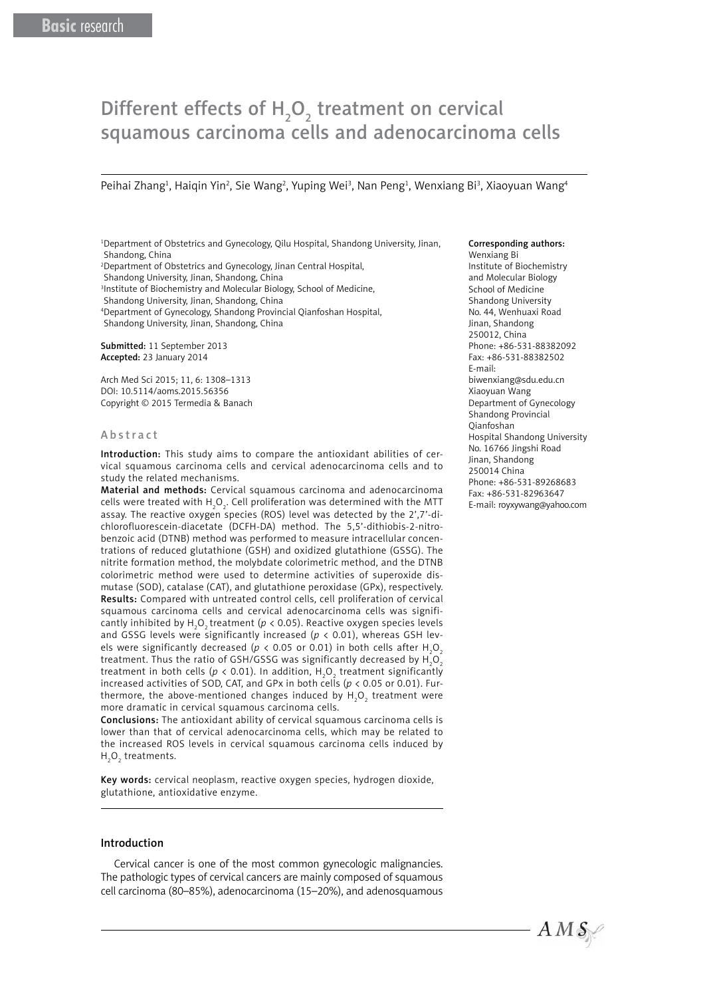# Different effects of  $H_2O_2$  treatment on cervical squamous carcinoma cells and adenocarcinoma cells

Peihai Zhang<sup>1</sup>, Haiqin Yin<sup>2</sup>, Sie Wang<sup>2</sup>, Yuping Wei<sup>3</sup>, Nan Peng<sup>1</sup>, Wenxiang Bi<sup>3</sup>, Xiaoyuan Wang<sup>4</sup>

1 Department of Obstetrics and Gynecology, Qilu Hospital, Shandong University, Jinan, Shandong, China

2 Department of Obstetrics and Gynecology, Jinan Central Hospital,

Shandong University, Jinan, Shandong, China

3 Institute of Biochemistry and Molecular Biology, School of Medicine,

Shandong University, Jinan, Shandong, China

4 Department of Gynecology, Shandong Provincial Qianfoshan Hospital, Shandong University, Jinan, Shandong, China

Submitted: 11 September 2013 Accepted: 23 January 2014

Arch Med Sci 2015; 11, 6: 1308–1313 DOI: 10.5114/aoms.2015.56356 Copyright © 2015 Termedia & Banach

#### Abstract

Introduction: This study aims to compare the antioxidant abilities of cervical squamous carcinoma cells and cervical adenocarcinoma cells and to study the related mechanisms.

Material and methods: Cervical squamous carcinoma and adenocarcinoma cells were treated with H<sub>2</sub>O<sub>2</sub>. Cell proliferation was determined with the MTT assay. The reactive oxygen species (ROS) level was detected by the 2',7'-dichlorofluorescein-diacetate (DCFH-DA) method. The 5,5'-dithiobis-2-nitrobenzoic acid (DTNB) method was performed to measure intracellular concentrations of reduced glutathione (GSH) and oxidized glutathione (GSSG). The nitrite formation method, the molybdate colorimetric method, and the DTNB colorimetric method were used to determine activities of superoxide dismutase (SOD), catalase (CAT), and glutathione peroxidase (GPx), respectively. Results: Compared with untreated control cells, cell proliferation of cervical squamous carcinoma cells and cervical adenocarcinoma cells was significantly inhibited by  $\text{H}_{\text{2}}\text{O}_{\text{2}}$ treatment ( $p$  < 0.05). Reactive oxygen species levels and GSSG levels were significantly increased ( $p < 0.01$ ), whereas GSH levels were significantly decreased ( $p$  < 0.05 or 0.01) in both cells after H<sub>2</sub>O<sub>2</sub> treatment. Thus the ratio of GSH/GSSG was significantly decreased by  $\mathsf{H}_\mathsf{2}\mathsf{O}_\mathsf{2}$ treatment in both cells ( $p$  < 0.01). In addition,  $\mathsf{H}_{_2}\mathsf{O}_{_2}$  treatment significantly increased activities of SOD, CAT, and GPx in both cells (*p* < 0.05 or 0.01). Furthermore, the above-mentioned changes induced by  ${\sf H}_{\sf 2} {\sf O}_{\sf 2}$  treatment were more dramatic in cervical squamous carcinoma cells.

Conclusions: The antioxidant ability of cervical squamous carcinoma cells is lower than that of cervical adenocarcinoma cells, which may be related to the increased ROS levels in cervical squamous carcinoma cells induced by  $H_2O_2$  treatments.

Key words: cervical neoplasm, reactive oxygen species, hydrogen dioxide, glutathione, antioxidative enzyme.

#### Introduction

Cervical cancer is one of the most common gynecologic malignancies. The pathologic types of cervical cancers are mainly composed of squamous cell carcinoma (80–85%), adenocarcinoma (15–20%), and adenosquamous

#### Corresponding authors:

Wenxiang Bi Institute of Biochemistry and Molecular Biology School of Medicine Shandong University No. 44, Wenhuaxi Road Jinan, Shandong 250012, China Phone: +86-531-88382092 Fax: +86-531-88382502 E-mail: biwenxiang@sdu.edu.cn Xiaoyuan Wang Department of Gynecology Shandong Provincial Qianfoshan Hospital Shandong University No. 16766 Jingshi Road Jinan, Shandong 250014 China Phone: +86-531-89268683 Fax: +86-531-82963647 E-mail: royxywang@yahoo.com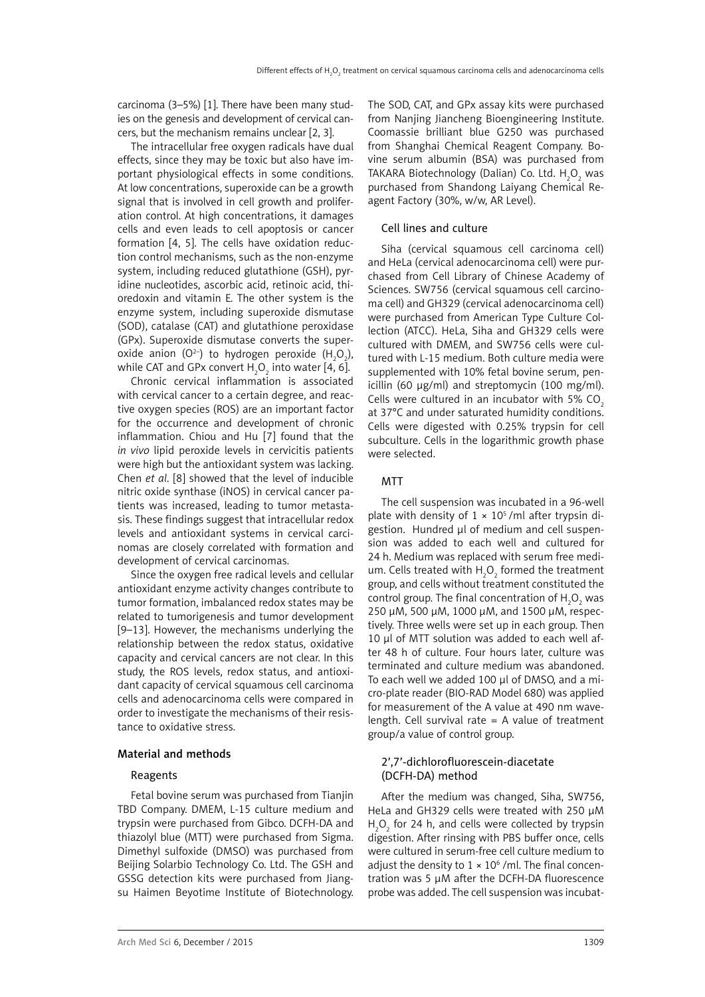carcinoma (3–5%) [1]. There have been many studies on the genesis and development of cervical cancers, but the mechanism remains unclear [2, 3].

The intracellular free oxygen radicals have dual effects, since they may be toxic but also have important physiological effects in some conditions. At low concentrations, superoxide can be a growth signal that is involved in cell growth and proliferation control. At high concentrations, it damages cells and even leads to cell apoptosis or cancer formation [4, 5]. The cells have oxidation reduction control mechanisms, such as the non-enzyme system, including reduced glutathione (GSH), pyridine nucleotides, ascorbic acid, retinoic acid, thioredoxin and vitamin E. The other system is the enzyme system, including superoxide dismutase (SOD), catalase (CAT) and glutathione peroxidase (GPx). Superoxide dismutase converts the superoxide anion (O<sup>2-</sup>) to hydrogen peroxide (H<sub>2</sub>O<sub>2</sub>), while CAT and GPx convert  $\mathsf{H}_{\scriptscriptstyle{2}}\mathsf{O}_{\scriptscriptstyle{2}}$  into water [4, 6].

Chronic cervical inflammation is associated with cervical cancer to a certain degree, and reactive oxygen species (ROS) are an important factor for the occurrence and development of chronic inflammation. Chiou and Hu [7] found that the *in vivo* lipid peroxide levels in cervicitis patients were high but the antioxidant system was lacking. Chen *et al*. [8] showed that the level of inducible nitric oxide synthase (iNOS) in cervical cancer patients was increased, leading to tumor metastasis. These findings suggest that intracellular redox levels and antioxidant systems in cervical carcinomas are closely correlated with formation and development of cervical carcinomas.

Since the oxygen free radical levels and cellular antioxidant enzyme activity changes contribute to tumor formation, imbalanced redox states may be related to tumorigenesis and tumor development [9–13]. However, the mechanisms underlying the relationship between the redox status, oxidative capacity and cervical cancers are not clear. In this study, the ROS levels, redox status, and antioxidant capacity of cervical squamous cell carcinoma cells and adenocarcinoma cells were compared in order to investigate the mechanisms of their resistance to oxidative stress.

### Material and methods

#### Reagents

Fetal bovine serum was purchased from Tianjin TBD Company. DMEM, L-15 culture medium and trypsin were purchased from Gibco. DCFH-DA and thiazolyl blue (MTT) were purchased from Sigma. Dimethyl sulfoxide (DMSO) was purchased from Beijing Solarbio Technology Co. Ltd. The GSH and GSSG detection kits were purchased from Jiangsu Haimen Beyotime Institute of Biotechnology. The SOD, CAT, and GPx assay kits were purchased from Nanjing Jiancheng Bioengineering Institute. Coomassie brilliant blue G250 was purchased from Shanghai Chemical Reagent Company. Bovine serum albumin (BSA) was purchased from TAKARA Biotechnology (Dalian) Co. Ltd.  $H_2O_2$  was purchased from Shandong Laiyang Chemical Reagent Factory (30%, w/w, AR Level).

#### Cell lines and culture

Siha (cervical squamous cell carcinoma cell) and HeLa (cervical adenocarcinoma cell) were purchased from Cell Library of Chinese Academy of Sciences. SW756 (cervical squamous cell carcinoma cell) and GH329 (cervical adenocarcinoma cell) were purchased from American Type Culture Collection (ATCC). HeLa, Siha and GH329 cells were cultured with DMEM, and SW756 cells were cultured with L-15 medium. Both culture media were supplemented with 10% fetal bovine serum, penicillin (60 µg/ml) and streptomycin (100 mg/ml). Cells were cultured in an incubator with 5% CO. at 37°C and under saturated humidity conditions. Cells were digested with 0.25% trypsin for cell subculture. Cells in the logarithmic growth phase were selected.

## MTT

The cell suspension was incubated in a 96-well plate with density of  $1 \times 10^5$  /ml after trypsin digestion. Hundred µl of medium and cell suspension was added to each well and cultured for 24 h. Medium was replaced with serum free medium. Cells treated with  $H_2O_2$  formed the treatment group, and cells without treatment constituted the control group. The final concentration of  $H_2O_2$  was 250 µM, 500 µM, 1000 µM, and 1500 µM, respectively. Three wells were set up in each group. Then 10 µl of MTT solution was added to each well after 48 h of culture. Four hours later, culture was terminated and culture medium was abandoned. To each well we added 100 µl of DMSO, and a micro-plate reader (BIO-RAD Model 680) was applied for measurement of the A value at 490 nm wavelength. Cell survival rate  $= A$  value of treatment group/a value of control group.

## 2',7'-dichlorofluorescein-diacetate (DCFH-DA) method

After the medium was changed, Siha, SW756, HeLa and GH329 cells were treated with 250 µM  $H_2O_2$  for 24 h, and cells were collected by trypsin digestion. After rinsing with PBS buffer once, cells were cultured in serum-free cell culture medium to adjust the density to  $1 \times 10^6$  /ml. The final concentration was 5 µM after the DCFH-DA fluorescence probe was added. The cell suspension was incubat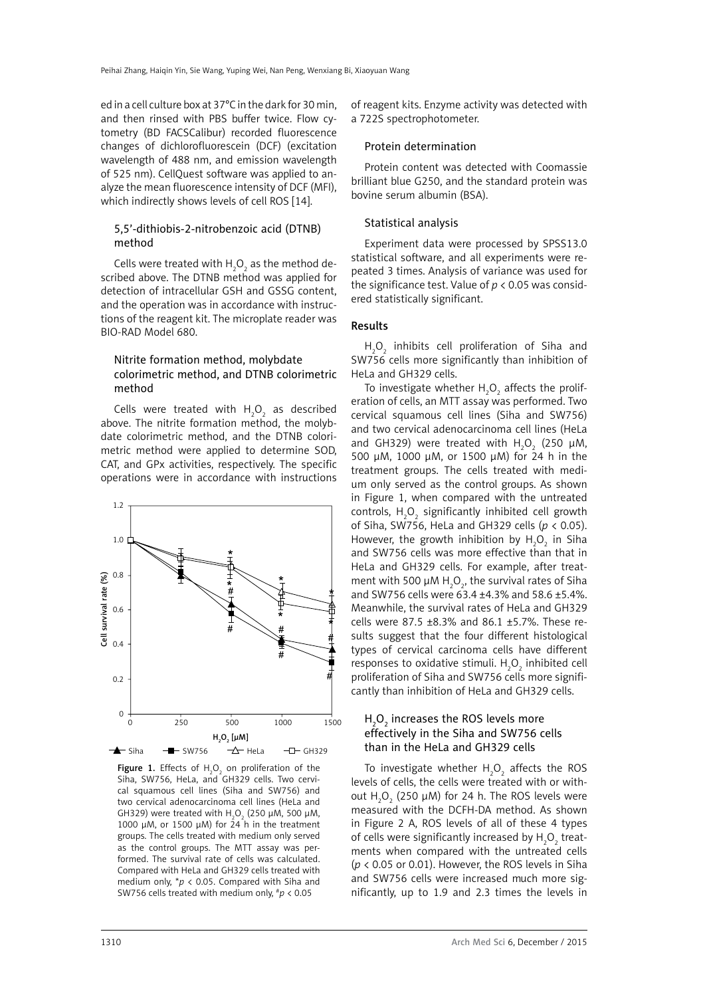ed in a cell culture box at 37°C in the dark for 30 min, and then rinsed with PBS buffer twice. Flow cytometry (BD FACSCalibur) recorded fluorescence changes of dichlorofluorescein (DCF) (excitation wavelength of 488 nm, and emission wavelength of 525 nm). CellQuest software was applied to analyze the mean fluorescence intensity of DCF (MFI), which indirectly shows levels of cell ROS [14].

## 5,5'-dithiobis-2-nitrobenzoic acid (DTNB) method

Cells were treated with  $H_2O_2$  as the method described above. The DTNB method was applied for detection of intracellular GSH and GSSG content, and the operation was in accordance with instructions of the reagent kit. The microplate reader was BIO-RAD Model 680.

## Nitrite formation method, molybdate colorimetric method, and DTNB colorimetric method

Cells were treated with  $H_2O_2$  as described above. The nitrite formation method, the molybdate colorimetric method, and the DTNB colorimetric method were applied to determine SOD, CAT, and GPx activities, respectively. The specific operations were in accordance with instructions



**Figure 1.** Effects of  $H_2O_2$  on proliferation of the Siha, SW756, HeLa, and GH329 cells. Two cervical squamous cell lines (Siha and SW756) and two cervical adenocarcinoma cell lines (HeLa and GH329) were treated with  $H_2O_2$  (250  $\mu$ M, 500  $\mu$ M, 1000  $\mu$ M, or 1500  $\mu$ M) for 24 h in the treatment groups. The cells treated with medium only served as the control groups. The MTT assay was performed. The survival rate of cells was calculated. Compared with HeLa and GH329 cells treated with medium only, \**p* < 0.05. Compared with Siha and SW756 cells treated with medium only, #*p* < 0.05

of reagent kits. Enzyme activity was detected with a 722S spectrophotometer.

## Protein determination

Protein content was detected with Coomassie brilliant blue G250, and the standard protein was bovine serum albumin (BSA).

# Statistical analysis

Experiment data were processed by SPSS13.0 statistical software, and all experiments were repeated 3 times. Analysis of variance was used for the significance test. Value of  $p < 0.05$  was considered statistically significant.

# Results

 $H_2O_2$  inhibits cell proliferation of Siha and SW756 cells more significantly than inhibition of HeLa and GH329 cells.

To investigate whether  $H_2O_2$  affects the proliferation of cells, an MTT assay was performed. Two cervical squamous cell lines (Siha and SW756) and two cervical adenocarcinoma cell lines (HeLa and GH329) were treated with  $H_2O_2$  (250  $\mu$ M, 500 µM, 1000 µM, or 1500 µM) for 24 h in the treatment groups. The cells treated with medium only served as the control groups. As shown in Figure 1, when compared with the untreated controls,  $H_2O_2$  significantly inhibited cell growth of Siha, SW756, HeLa and GH329 cells (*p* < 0.05). However, the growth inhibition by  $H_2O_2$  in Siha and SW756 cells was more effective than that in HeLa and GH329 cells. For example, after treatment with 500  $\mu$ M H<sub>2</sub>O<sub>2</sub>, the survival rates of Siha and SW756 cells were 63.4 ±4.3% and 58.6 ±5.4%. Meanwhile, the survival rates of HeLa and GH329 cells were 87.5 ±8.3% and 86.1 ±5.7%. These results suggest that the four different histological types of cervical carcinoma cells have different responses to oxidative stimuli.  $H_2O_2$  inhibited cell proliferation of Siha and SW756 cells more significantly than inhibition of HeLa and GH329 cells.

# $H_2O_2$  increases the ROS levels more effectively in the Siha and SW756 cells than in the HeLa and GH329 cells

To investigate whether  $H_2O_2$  affects the ROS levels of cells, the cells were treated with or without  $H_2O_2$  (250  $\mu$ M) for 24 h. The ROS levels were measured with the DCFH-DA method. As shown in Figure 2 A, ROS levels of all of these 4 types of cells were significantly increased by  $H_2O_2$  treatments when compared with the untreated cells  $(p < 0.05$  or 0.01). However, the ROS levels in Siha and SW756 cells were increased much more significantly, up to 1.9 and 2.3 times the levels in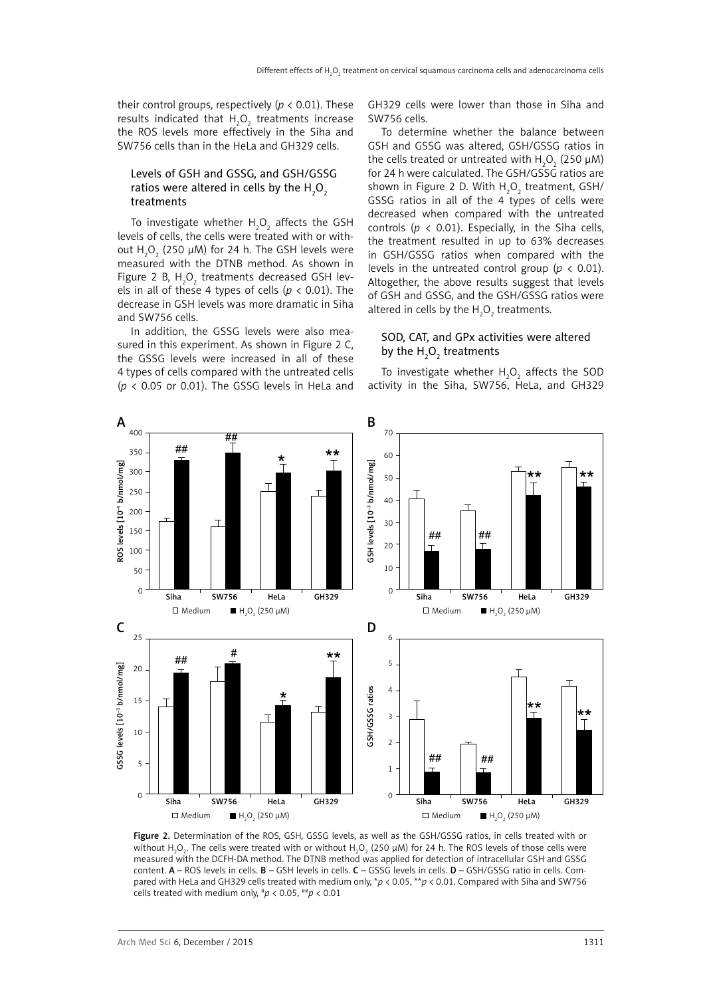their control groups, respectively ( $p < 0.01$ ). These results indicated that  $H_2O_2$  treatments increase the ROS levels more effectively in the Siha and SW756 cells than in the HeLa and GH329 cells.

# Levels of GSH and GSSG, and GSH/GSSG ratios were altered in cells by the  $H_{2}O_{2}$ treatments

To investigate whether  $H_2O_2$  affects the GSH levels of cells, the cells were treated with or without  ${\sf H}_{\mathfrak{z}}{\sf O}_{\mathfrak{z}}$  (250  $\mu$ M) for 24 h. The GSH levels were measured with the DTNB method. As shown in Figure 2 B,  $H_2O_2$  treatments decreased GSH levels in all of these 4 types of cells (*p* < 0.01). The decrease in GSH levels was more dramatic in Siha and SW756 cells.

In addition, the GSSG levels were also measured in this experiment. As shown in Figure 2 C, the GSSG levels were increased in all of these 4 types of cells compared with the untreated cells ( $p$  < 0.05 or 0.01). The GSSG levels in HeLa and

GH329 cells were lower than those in Siha and SW756 cells.

To determine whether the balance between GSH and GSSG was altered, GSH/GSSG ratios in the cells treated or untreated with  $H_2O_2$  (250  $\mu$ M) for 24 h were calculated. The GSH/GSSG ratios are shown in Figure 2 D. With  $H_2O_2$  treatment, GSH/ GSSG ratios in all of the 4 types of cells were decreased when compared with the untreated controls ( $p \lt 0.01$ ). Especially, in the Siha cells, the treatment resulted in up to 63% decreases in GSH/GSSG ratios when compared with the levels in the untreated control group ( $p < 0.01$ ). Altogether, the above results suggest that levels of GSH and GSSG, and the GSH/GSSG ratios were altered in cells by the  $H_2O_2$  treatments.

# SOD, CAT, and GPx activities were altered by the  $H_2O_2$  treatments

To investigate whether  $H_2O_2$  affects the SOD activity in the Siha, SW756, HeLa, and GH329



Figure 2. Determination of the ROS, GSH, GSSG levels, as well as the GSH/GSSG ratios, in cells treated with or without H<sub>2</sub>O<sub>2</sub>. The cells were treated with or without H<sub>2</sub>O<sub>2</sub> (250 µM) for 24 h. The ROS levels of those cells were measured with the DCFH-DA method. The DTNB method was applied for detection of intracellular GSH and GSSG content. A – ROS levels in cells. B – GSH levels in cells. C – GSSG levels in cells. D – GSH/GSSG ratio in cells. Compared with HeLa and GH329 cells treated with medium only, \**p* < 0.05, \*\**p* < 0.01. Compared with Siha and SW756 cells treated with medium only,  $^{\#}p$  < 0.05,  $^{\#}p$  < 0.01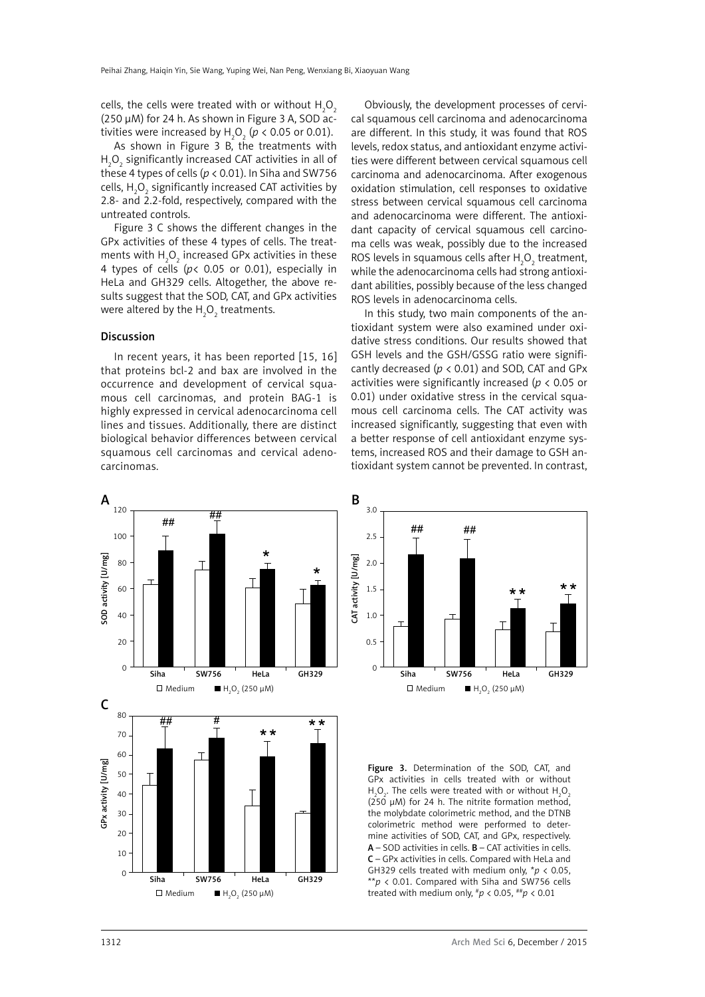cells, the cells were treated with or without  $\mathsf{H}_2\mathsf{O}_2$ (250 µM) for 24 h. As shown in Figure 3 A, SOD activities were increased by  $H_2O_2$  ( $p < 0.05$  or 0.01).

As shown in Figure 3 B, the treatments with  ${\sf H_2O_2}$  significantly increased CAT activities in all of these 4 types of cells ( $p < 0.01$ ). In Siha and SW756 cells,  ${\sf H}_{\sf 2}{\sf O}_{\sf 2}$  significantly increased CAT activities by 2.8- and 2.2-fold, respectively, compared with the untreated controls.

Figure 3 C shows the different changes in the GPx activities of these 4 types of cells. The treatments with  $H_2O_2$  increased GPx activities in these 4 types of cells (*p*< 0.05 or 0.01), especially in HeLa and GH329 cells. Altogether, the above results suggest that the SOD, CAT, and GPx activities were altered by the  $\mathsf{H}_{\mathsf{2}}\mathsf{O}_{\mathsf{2}}$  treatments.

## Discussion

In recent years, it has been reported [15, 16] that proteins bcl-2 and bax are involved in the occurrence and development of cervical squamous cell carcinomas, and protein BAG-1 is highly expressed in cervical adenocarcinoma cell lines and tissues. Additionally, there are distinct biological behavior differences between cervical squamous cell carcinomas and cervical adenocarcinomas.

Obviously, the development processes of cervical squamous cell carcinoma and adenocarcinoma are different. In this study, it was found that ROS levels, redox status, and antioxidant enzyme activities were different between cervical squamous cell carcinoma and adenocarcinoma. After exogenous oxidation stimulation, cell responses to oxidative stress between cervical squamous cell carcinoma and adenocarcinoma were different. The antioxidant capacity of cervical squamous cell carcinoma cells was weak, possibly due to the increased ROS levels in squamous cells after  ${\sf H_2O_2}$  treatment, while the adenocarcinoma cells had strong antioxidant abilities, possibly because of the less changed ROS levels in adenocarcinoma cells.

In this study, two main components of the antioxidant system were also examined under oxidative stress conditions. Our results showed that GSH levels and the GSH/GSSG ratio were significantly decreased (*p* < 0.01) and SOD, CAT and GPx activities were significantly increased (*p* < 0.05 or 0.01) under oxidative stress in the cervical squamous cell carcinoma cells. The CAT activity was increased significantly, suggesting that even with a better response of cell antioxidant enzyme systems, increased ROS and their damage to GSH antioxidant system cannot be prevented. In contrast,





Figure 3. Determination of the SOD, CAT, and GPx activities in cells treated with or without  $H_2O_2$ . The cells were treated with or without  $H_2O_2$  $(250 \mu M)$  for 24 h. The nitrite formation method, the molybdate colorimetric method, and the DTNB colorimetric method were performed to determine activities of SOD, CAT, and GPx, respectively.  $A -$  SOD activities in cells.  $B -$  CAT activities in cells. C – GPx activities in cells. Compared with HeLa and GH329 cells treated with medium only, \**p* < 0.05, \*\**p* < 0.01. Compared with Siha and SW756 cells treated with medium only, #*p* < 0.05, ##*p* < 0.01